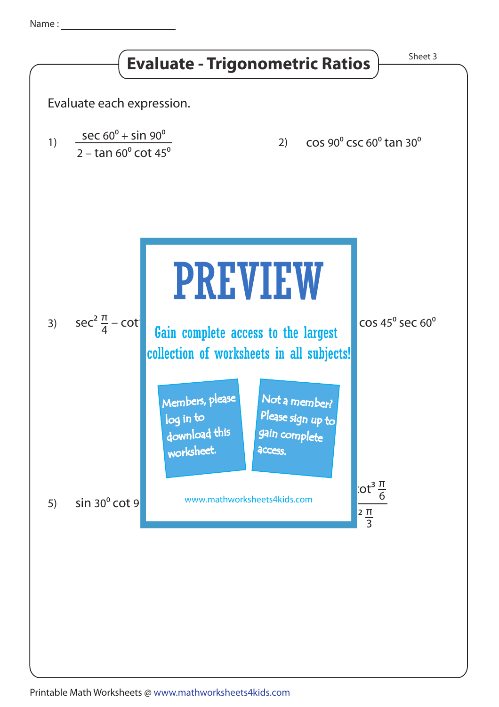